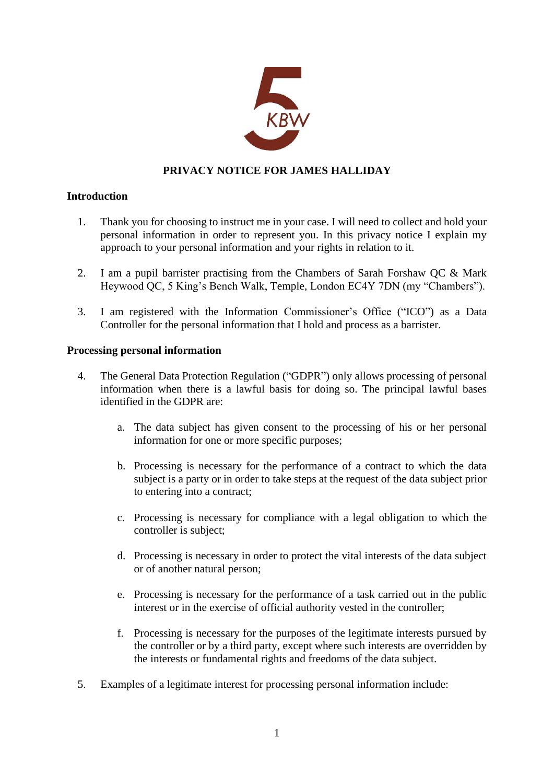

# **PRIVACY NOTICE FOR JAMES HALLIDAY**

# **Introduction**

- 1. Thank you for choosing to instruct me in your case. I will need to collect and hold your personal information in order to represent you. In this privacy notice I explain my approach to your personal information and your rights in relation to it.
- 2. I am a pupil barrister practising from the Chambers of Sarah Forshaw QC & Mark Heywood QC, 5 King's Bench Walk, Temple, London EC4Y 7DN (my "Chambers").
- 3. I am registered with the Information Commissioner's Office ("ICO") as a Data Controller for the personal information that I hold and process as a barrister.

# **Processing personal information**

- 4. The General Data Protection Regulation ("GDPR") only allows processing of personal information when there is a lawful basis for doing so. The principal lawful bases identified in the GDPR are:
	- a. The data subject has given consent to the processing of his or her personal information for one or more specific purposes;
	- b. Processing is necessary for the performance of a contract to which the data subject is a party or in order to take steps at the request of the data subject prior to entering into a contract;
	- c. Processing is necessary for compliance with a legal obligation to which the controller is subject;
	- d. Processing is necessary in order to protect the vital interests of the data subject or of another natural person;
	- e. Processing is necessary for the performance of a task carried out in the public interest or in the exercise of official authority vested in the controller;
	- f. Processing is necessary for the purposes of the legitimate interests pursued by the controller or by a third party, except where such interests are overridden by the interests or fundamental rights and freedoms of the data subject.
- 5. Examples of a legitimate interest for processing personal information include: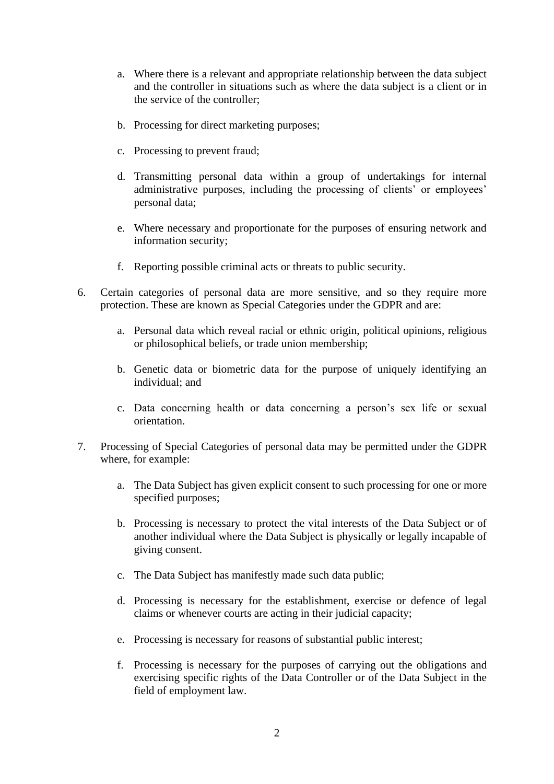- a. Where there is a relevant and appropriate relationship between the data subject and the controller in situations such as where the data subject is a client or in the service of the controller;
- b. Processing for direct marketing purposes;
- c. Processing to prevent fraud;
- d. Transmitting personal data within a group of undertakings for internal administrative purposes, including the processing of clients' or employees' personal data;
- e. Where necessary and proportionate for the purposes of ensuring network and information security;
- f. Reporting possible criminal acts or threats to public security.
- 6. Certain categories of personal data are more sensitive, and so they require more protection. These are known as Special Categories under the GDPR and are:
	- a. Personal data which reveal racial or ethnic origin, political opinions, religious or philosophical beliefs, or trade union membership;
	- b. Genetic data or biometric data for the purpose of uniquely identifying an individual; and
	- c. Data concerning health or data concerning a person's sex life or sexual orientation.
- 7. Processing of Special Categories of personal data may be permitted under the GDPR where, for example:
	- a. The Data Subject has given explicit consent to such processing for one or more specified purposes;
	- b. Processing is necessary to protect the vital interests of the Data Subject or of another individual where the Data Subject is physically or legally incapable of giving consent.
	- c. The Data Subject has manifestly made such data public;
	- d. Processing is necessary for the establishment, exercise or defence of legal claims or whenever courts are acting in their judicial capacity;
	- e. Processing is necessary for reasons of substantial public interest;
	- f. Processing is necessary for the purposes of carrying out the obligations and exercising specific rights of the Data Controller or of the Data Subject in the field of employment law.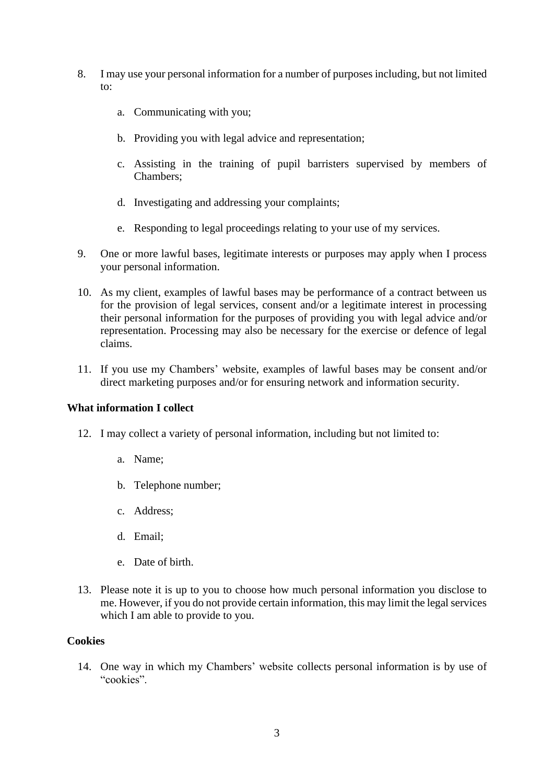- 8. I may use your personal information for a number of purposes including, but not limited to:
	- a. Communicating with you;
	- b. Providing you with legal advice and representation;
	- c. Assisting in the training of pupil barristers supervised by members of Chambers;
	- d. Investigating and addressing your complaints;
	- e. Responding to legal proceedings relating to your use of my services.
- 9. One or more lawful bases, legitimate interests or purposes may apply when I process your personal information.
- 10. As my client, examples of lawful bases may be performance of a contract between us for the provision of legal services, consent and/or a legitimate interest in processing their personal information for the purposes of providing you with legal advice and/or representation. Processing may also be necessary for the exercise or defence of legal claims.
- 11. If you use my Chambers' website, examples of lawful bases may be consent and/or direct marketing purposes and/or for ensuring network and information security.

## **What information I collect**

- 12. I may collect a variety of personal information, including but not limited to:
	- a. Name;
	- b. Telephone number;
	- c. Address;
	- d. Email;
	- e. Date of birth.
- 13. Please note it is up to you to choose how much personal information you disclose to me. However, if you do not provide certain information, this may limit the legal services which I am able to provide to you.

## **Cookies**

14. One way in which my Chambers' website collects personal information is by use of "cookies".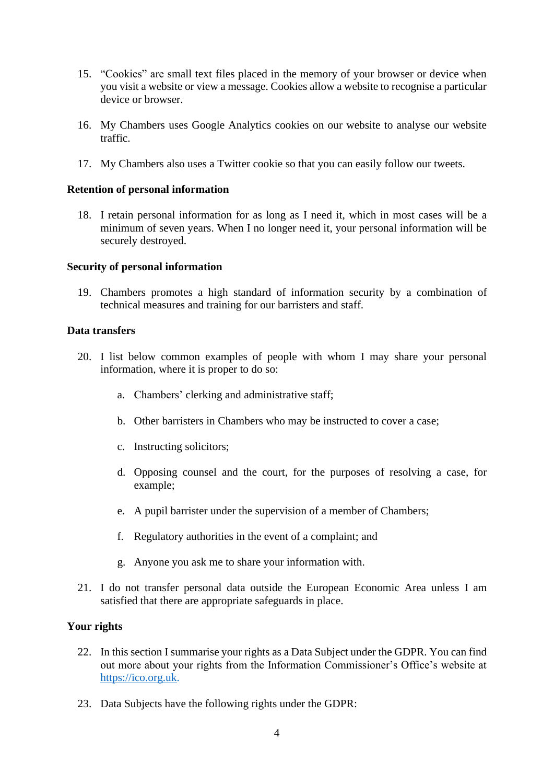- 15. "Cookies" are small text files placed in the memory of your browser or device when you visit a website or view a message. Cookies allow a website to recognise a particular device or browser.
- 16. My Chambers uses Google Analytics cookies on our website to analyse our website traffic.
- 17. My Chambers also uses a Twitter cookie so that you can easily follow our tweets.

#### **Retention of personal information**

18. I retain personal information for as long as I need it, which in most cases will be a minimum of seven years. When I no longer need it, your personal information will be securely destroyed.

#### **Security of personal information**

19. Chambers promotes a high standard of information security by a combination of technical measures and training for our barristers and staff.

## **Data transfers**

- 20. I list below common examples of people with whom I may share your personal information, where it is proper to do so:
	- a. Chambers' clerking and administrative staff;
	- b. Other barristers in Chambers who may be instructed to cover a case;
	- c. Instructing solicitors;
	- d. Opposing counsel and the court, for the purposes of resolving a case, for example;
	- e. A pupil barrister under the supervision of a member of Chambers;
	- f. Regulatory authorities in the event of a complaint; and
	- g. Anyone you ask me to share your information with.
- 21. I do not transfer personal data outside the European Economic Area unless I am satisfied that there are appropriate safeguards in place.

# **Your rights**

- 22. In this section I summarise your rights as a Data Subject under the GDPR. You can find out more about your rights from the Information Commissioner's Office's website at [https://ico.org.uk.](https://ico.org.uk/)
- 23. Data Subjects have the following rights under the GDPR: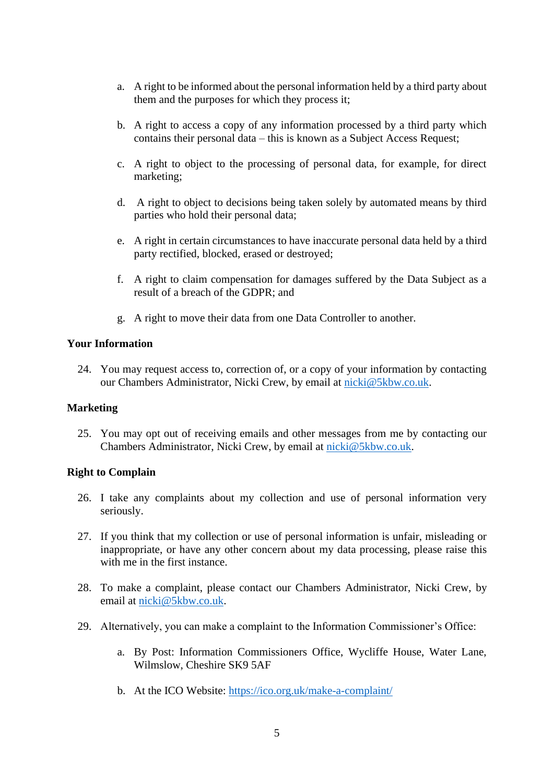- a. A right to be informed about the personal information held by a third party about them and the purposes for which they process it;
- b. A right to access a copy of any information processed by a third party which contains their personal data – this is known as a Subject Access Request;
- c. A right to object to the processing of personal data, for example, for direct marketing;
- d. A right to object to decisions being taken solely by automated means by third parties who hold their personal data;
- e. A right in certain circumstances to have inaccurate personal data held by a third party rectified, blocked, erased or destroyed;
- f. A right to claim compensation for damages suffered by the Data Subject as a result of a breach of the GDPR; and
- g. A right to move their data from one Data Controller to another.

## **Your Information**

24. You may request access to, correction of, or a copy of your information by contacting our Chambers Administrator, Nicki Crew, by email at [nicki@5kbw.co.uk.](mailto:nicki@5kbw.co.uk)

## **Marketing**

25. You may opt out of receiving emails and other messages from me by contacting our Chambers Administrator, Nicki Crew, by email at [nicki@5kbw.co.uk.](mailto:nicki@5kbw.co.uk)

## **Right to Complain**

- 26. I take any complaints about my collection and use of personal information very seriously.
- 27. If you think that my collection or use of personal information is unfair, misleading or inappropriate, or have any other concern about my data processing, please raise this with me in the first instance.
- 28. To make a complaint, please contact our Chambers Administrator, Nicki Crew, by email at [nicki@5kbw.co.uk.](mailto:nicki@5kbw.co.uk)
- 29. Alternatively, you can make a complaint to the Information Commissioner's Office:
	- a. By Post: Information Commissioners Office, Wycliffe House, Water Lane, Wilmslow, Cheshire SK9 5AF
	- b. At the ICO Website: <https://ico.org.uk/make-a-complaint/>